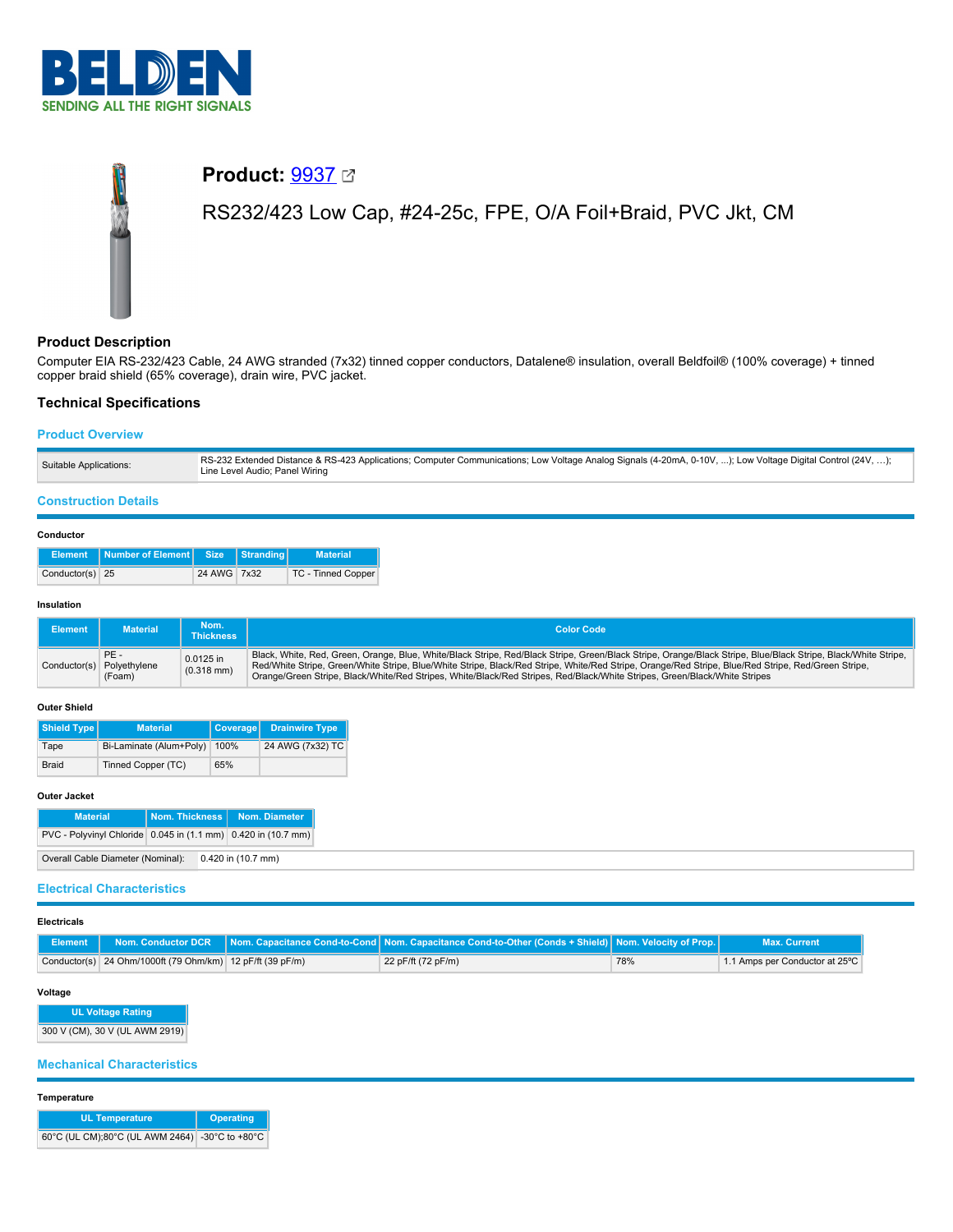

# **Product:** [9937](https://catalog.belden.com/index.cfm?event=pd&p=PF_9937&tab=downloads) RS232/423 Low Cap, #24-25c, FPE, O/A Foil+Braid, PVC Jkt, CM

# **Product Description**

Computer EIA RS-232/423 Cable, 24 AWG stranded (7x32) tinned copper conductors, Datalene® insulation, overall Beldfoil® (100% coverage) + tinned copper braid shield (65% coverage), drain wire, PVC jacket.

# **Technical Specifications**

## **Product Overview**

| Suitable Applications: | RS-232 Extended Distance & RS-423 Applications; Computer Communications; Low Voltage Analog Signals (4-20mA, 0-10V, ); Low Voltage Digital Control (24V, );<br>Line Level Audio; Panel Wiring |
|------------------------|-----------------------------------------------------------------------------------------------------------------------------------------------------------------------------------------------|
|------------------------|-----------------------------------------------------------------------------------------------------------------------------------------------------------------------------------------------|

## **Construction Details**

#### **Conductor**

|                 | Element   Number of Element   Size   Stranding |             | <b>Material</b>    |
|-----------------|------------------------------------------------|-------------|--------------------|
| Conductor(s) 25 |                                                | 24 AWG 7x32 | TC - Tinned Copper |

#### **Insulation**

| <b>Element</b> | <b>Material</b>                            | Nom.<br><b>Thickness</b>  | <b>Color Code</b>                                                                                                                                                                                                                                                                                                                                                                                                                                |
|----------------|--------------------------------------------|---------------------------|--------------------------------------------------------------------------------------------------------------------------------------------------------------------------------------------------------------------------------------------------------------------------------------------------------------------------------------------------------------------------------------------------------------------------------------------------|
|                | PE-<br>Conductor(s) Polyethylene<br>(Foam) | 0.0125 in<br>$(0.318$ mm) | Black, White, Red, Green, Orange, Blue, White/Black Stripe, Red/Black Stripe, Green/Black Stripe, Orange/Black Stripe, Blue/Black Stripe, Black/White Stripe,<br>Red/White Stripe, Green/White Stripe, Blue/White Stripe, Black/Red Stripe, White/Red Stripe, Orange/Red Stripe, Blue/Red Stripe, Red/Green Stripe,<br>Orange/Green Stripe, Black/White/Red Stripes, White/Black/Red Stripes, Red/Black/White Stripes, Green/Black/White Stripes |

#### **Outer Shield**

| Shield Type  | <b>Material</b>         | Coverage | <b>Drainwire Type</b> |
|--------------|-------------------------|----------|-----------------------|
| Tape         | Bi-Laminate (Alum+Poly) | 100%     | 24 AWG (7x32) TC      |
| <b>Braid</b> | Tinned Copper (TC)      | 65%      |                       |

## **Outer Jacket**

| <b>Material</b>                                               | Nom. Thickness   Nom. Diameter |
|---------------------------------------------------------------|--------------------------------|
| PVC - Polyvinyl Chloride 0.045 in (1.1 mm) 0.420 in (10.7 mm) |                                |
| Overall Cable Diameter (Nominal): 0.420 in (10.7 mm)          |                                |

## **Electrical Characteristics**

| <b>Electricals</b> |                                                           |                                                                                                                                             |     |                                |
|--------------------|-----------------------------------------------------------|---------------------------------------------------------------------------------------------------------------------------------------------|-----|--------------------------------|
| Element I          |                                                           | Nom. Conductor DCR $\ $ Nom. Capacitance Cond-to-Cond $\ $ Nom. Capacitance Cond-to-Other (Conds + Shield) $\ $ Nom. Velocity of Prop. $\ $ |     | <b>Max. Current</b>            |
|                    | Conductor(s) 24 Ohm/1000ft (79 Ohm/km) 12 pF/ft (39 pF/m) | 22 pF/ft (72 pF/m)                                                                                                                          | 78% | 1.1 Amps per Conductor at 25°C |

#### **Voltage**

**UL Voltage Rating** 300 V (CM), 30 V (UL AWM 2919)

## **Mechanical Characteristics**

#### **Temperature**

| <b>UL Temperature</b>                          | <b>Operating</b> |
|------------------------------------------------|------------------|
| 60°C (UL CM);80°C (UL AWM 2464) -30°C to +80°C |                  |